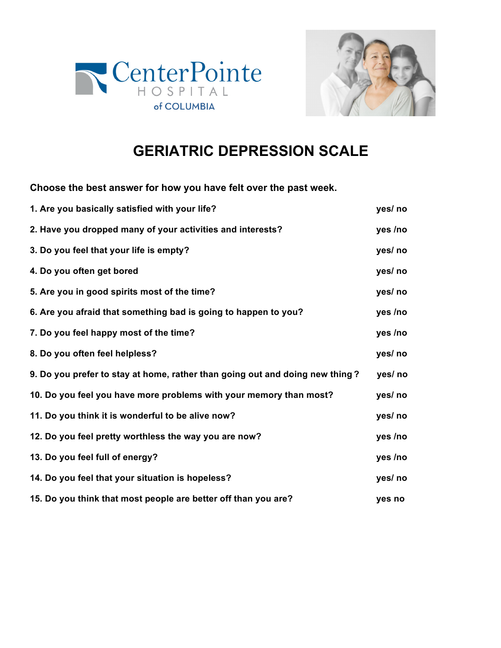



## **GERIATRIC DEPRESSION SCALE**

**Choose the best answer for how you have felt over the past week.**

| 1. Are you basically satisfied with your life?                               | yes/ no |
|------------------------------------------------------------------------------|---------|
| 2. Have you dropped many of your activities and interests?                   | yes /no |
| 3. Do you feel that your life is empty?                                      | yes/ no |
| 4. Do you often get bored                                                    | yes/ no |
| 5. Are you in good spirits most of the time?                                 | yes/ no |
| 6. Are you afraid that something bad is going to happen to you?              | yes /no |
| 7. Do you feel happy most of the time?                                       | yes /no |
| 8. Do you often feel helpless?                                               | yes/ no |
| 9. Do you prefer to stay at home, rather than going out and doing new thing? | yes/ no |
| 10. Do you feel you have more problems with your memory than most?           | yes/ no |
| 11. Do you think it is wonderful to be alive now?                            | yes/ no |
| 12. Do you feel pretty worthless the way you are now?                        | yes /no |
| 13. Do you feel full of energy?                                              | yes /no |
| 14. Do you feel that your situation is hopeless?                             | yes/ no |
| 15. Do you think that most people are better off than you are?               | yes no  |